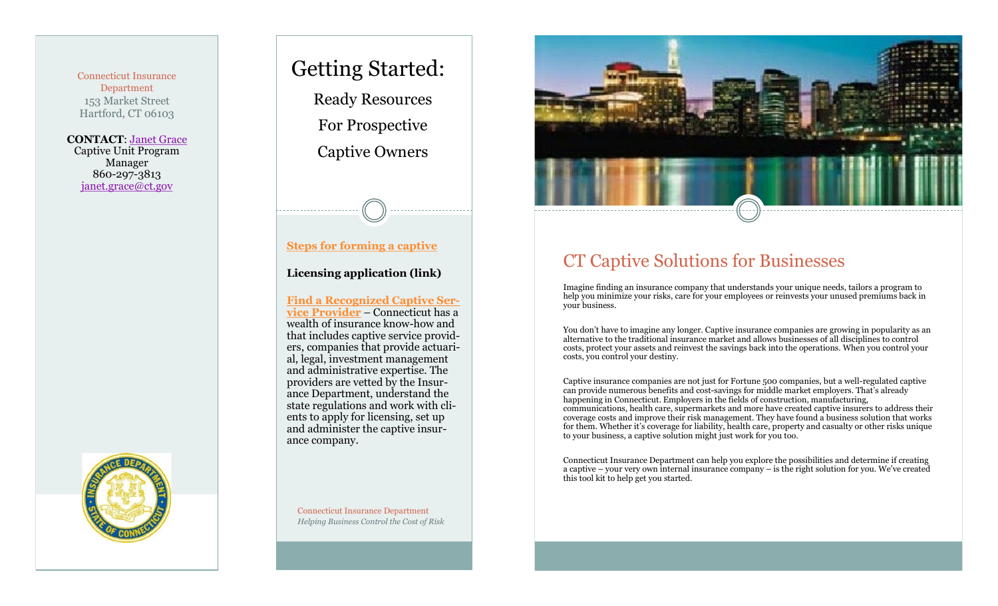Connecticut Insurance Department 153 Market Street Hartford, CT 06103

**CONTACT**: [Janet Grace](http://www.ct.gov/cid/cwp/view.asp?a=1269&Q=576300) Captive Unit Program Manager 860-297-3813 [janet.grace@ct.gov](mailto:janet.grace@ct.gov)



# Getting Started:

Ready Resources For Prospective Captive Owners

#### **[Steps for forming a captive](http://www.ct.gov/cid/cwp/view.asp?a=1261&Q=515642)**

#### **Licensing application (link)**

**[Find a Recognized Captive Ser](http://www.ct.gov/cid/lib/cid/List_of_RecognizedService_Providers.pdf)[vice Provider](http://www.ct.gov/cid/lib/cid/List_of_RecognizedService_Providers.pdf)** – Connecticut has a wealth of insurance know-how and that includes captive service providers, companies that provide actuarial, legal, investment management and administrative expertise. The providers are vetted by the Insurance Department, understand the state regulations and work with clients to apply for licensing, set up and administer the captive insurance company.

CT Captive Solutions for Businesses

Imagine finding an insurance company that understands your unique needs, tailors a program to help you minimize your risks, care for your employees or reinvests your unused premiums back in your business.

You don't have to imagine any longer. Captive insurance companies are growing in popularity as an alternative to the traditional insurance market and allows businesses of all disciplines to control costs, protect your assets and reinvest the savings back into the operations. When you control your costs, you control your destiny.

Captive insurance companies are not just for Fortune 500 companies, but a well-regulated captive can provide numerous benefits and cost-savings for middle market employers. That's already happening in Connecticut. Employers in the fields of construction, manufacturing, communications, health care, supermarkets and more have created captive insurers to address their coverage costs and improve their risk management. They have found a business solution that works for them. Whether it's coverage for liability, health care, property and casualty or other risks unique to your business, a captive solution might just work for you too.

Connecticut Insurance Department can help you explore the possibilities and determine if creating a captive – your very own internal insurance company – is the right solution for you. We've created this tool kit to help get you started.

Connecticut Insurance Department *Helping Business Control the Cost of Risk*